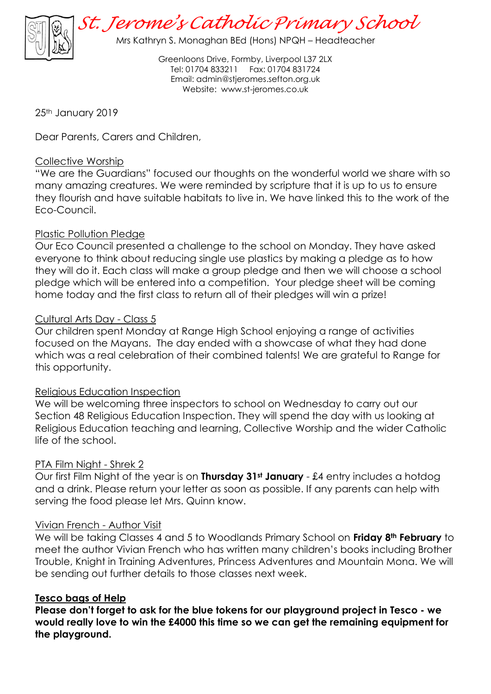

*St. Jerome's Catholic Primary School*

Mrs Kathryn S. Monaghan BEd (Hons) NPQH – Headteacher

Greenloons Drive, Formby, Liverpool L37 2LX Tel: 01704 833211 Fax: 01704 831724 Email: [admin@stjeromes.sefton.org.uk](mailto:admin.stjeromes@schools.sefton.gov.uk) Website: [www.st-jeromes.co.uk](http://www.st-jeromes.co.uk/)

25<sup>th</sup> January 2019

Dear Parents, Carers and Children,

### Collective Worship

"We are the Guardians" focused our thoughts on the wonderful world we share with so many amazing creatures. We were reminded by scripture that it is up to us to ensure they flourish and have suitable habitats to live in. We have linked this to the work of the Eco-Council.

## Plastic Pollution Pledge

Our Eco Council presented a challenge to the school on Monday. They have asked everyone to think about reducing single use plastics by making a pledge as to how they will do it. Each class will make a group pledge and then we will choose a school pledge which will be entered into a competition. Your pledge sheet will be coming home today and the first class to return all of their pledges will win a prize!

#### Cultural Arts Day - Class 5

Our children spent Monday at Range High School enjoying a range of activities focused on the Mayans. The day ended with a showcase of what they had done which was a real celebration of their combined talents! We are grateful to Range for this opportunity.

#### Religious Education Inspection

We will be welcoming three inspectors to school on Wednesday to carry out our Section 48 Religious Education Inspection. They will spend the day with us looking at Religious Education teaching and learning, Collective Worship and the wider Catholic life of the school.

#### PTA Film Night - Shrek 2

Our first Film Night of the year is on **Thursday 31st January** - £4 entry includes a hotdog and a drink. Please return your letter as soon as possible. If any parents can help with serving the food please let Mrs. Quinn know.

#### Vivian French - Author Visit

We will be taking Classes 4 and 5 to Woodlands Primary School on **Friday 8th February** to meet the author Vivian French who has written many children's books including Brother Trouble, Knight in Training Adventures, Princess Adventures and Mountain Mona. We will be sending out further details to those classes next week.

#### **Tesco bags of Help**

**Please don't forget to ask for the blue tokens for our playground project in Tesco - we would really love to win the £4000 this time so we can get the remaining equipment for the playground.**